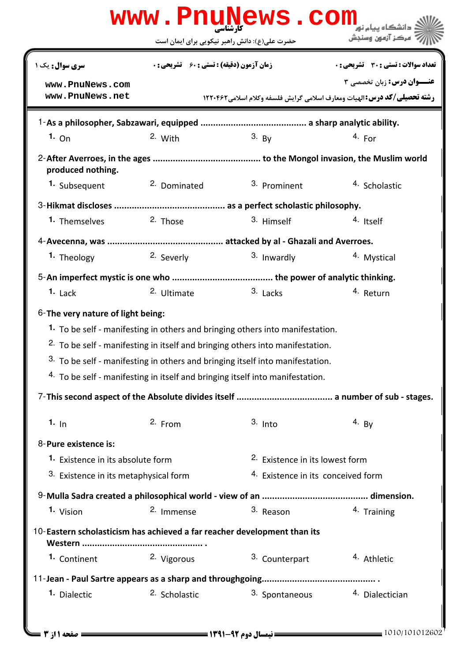|                                                                          |                                                    | www.PnuNews.com                                                                                                                                                                                                                                                                                                                             |                                                                                                                      |  |  |
|--------------------------------------------------------------------------|----------------------------------------------------|---------------------------------------------------------------------------------------------------------------------------------------------------------------------------------------------------------------------------------------------------------------------------------------------------------------------------------------------|----------------------------------------------------------------------------------------------------------------------|--|--|
|                                                                          | حضرت علی(ع): دانش راهبر نیکویی برای ایمان است      |                                                                                                                                                                                                                                                                                                                                             | مركز آزمون وسنجش                                                                                                     |  |  |
| سری سوال: یک ۱                                                           | <b>زمان آزمون (دقیقه) : تستی : 60 ٪ تشریحی : 0</b> |                                                                                                                                                                                                                                                                                                                                             | <b>تعداد سوالات : تستی : 30 ٪ تشریحی : 0</b>                                                                         |  |  |
| www.PnuNews.com<br>www.PnuNews.net                                       |                                                    |                                                                                                                                                                                                                                                                                                                                             | <b>عنــوان درس:</b> زبان تخصصي 3<br><b>رشته تحصیلی/کد درس: ال</b> هیات ومعارف اسلامی گرایش فلسفه وکلام اسلامی1۲۲۰۴۶۲ |  |  |
|                                                                          |                                                    |                                                                                                                                                                                                                                                                                                                                             |                                                                                                                      |  |  |
| 1.0n                                                                     | 2. With                                            | $3. \,$ By                                                                                                                                                                                                                                                                                                                                  | 4. For                                                                                                               |  |  |
| produced nothing.                                                        |                                                    |                                                                                                                                                                                                                                                                                                                                             |                                                                                                                      |  |  |
| 1. Subsequent                                                            | 2. Dominated                                       | 3. Prominent                                                                                                                                                                                                                                                                                                                                | 4. Scholastic                                                                                                        |  |  |
|                                                                          |                                                    |                                                                                                                                                                                                                                                                                                                                             |                                                                                                                      |  |  |
| 1. Themselves                                                            | 2. Those                                           | 3. Himself                                                                                                                                                                                                                                                                                                                                  | 4. Itself                                                                                                            |  |  |
|                                                                          |                                                    |                                                                                                                                                                                                                                                                                                                                             |                                                                                                                      |  |  |
| 1. Theology                                                              | 2. Severly                                         | 3. Inwardly                                                                                                                                                                                                                                                                                                                                 | 4. Mystical                                                                                                          |  |  |
|                                                                          |                                                    |                                                                                                                                                                                                                                                                                                                                             |                                                                                                                      |  |  |
| $1.$ Lack                                                                | 2. Ultimate                                        | 3. Lacks                                                                                                                                                                                                                                                                                                                                    | 4. Return                                                                                                            |  |  |
| $6$ -The very nature of light being:                                     |                                                    | 1. To be self - manifesting in others and bringing others into manifestation.<br><sup>2.</sup> To be self - manifesting in itself and bringing others into manifestation.<br>3. To be self - manifesting in others and bringing itself into manifestation.<br>4. To be self - manifesting in itself and bringing itself into manifestation. |                                                                                                                      |  |  |
|                                                                          |                                                    |                                                                                                                                                                                                                                                                                                                                             |                                                                                                                      |  |  |
| 1. $In$                                                                  | 2. From                                            | $3.$ Into                                                                                                                                                                                                                                                                                                                                   | 4. By                                                                                                                |  |  |
| 8-Pure existence is:                                                     |                                                    |                                                                                                                                                                                                                                                                                                                                             |                                                                                                                      |  |  |
|                                                                          | <b>1.</b> Existence in its absolute form           |                                                                                                                                                                                                                                                                                                                                             | 2. Existence in its lowest form                                                                                      |  |  |
| 3. Existence in its metaphysical form                                    |                                                    | 4. Existence in its conceived form                                                                                                                                                                                                                                                                                                          |                                                                                                                      |  |  |
|                                                                          |                                                    |                                                                                                                                                                                                                                                                                                                                             |                                                                                                                      |  |  |
| 1. Vision                                                                | <sup>2.</sup> Immense                              | 3. Reason                                                                                                                                                                                                                                                                                                                                   | 4. Training                                                                                                          |  |  |
| 10-Eastern scholasticism has achieved a far reacher development than its |                                                    |                                                                                                                                                                                                                                                                                                                                             |                                                                                                                      |  |  |
| 1. Continent                                                             | 2. Vigorous                                        | 3. Counterpart                                                                                                                                                                                                                                                                                                                              | <sup>4</sup> Athletic                                                                                                |  |  |
|                                                                          |                                                    |                                                                                                                                                                                                                                                                                                                                             |                                                                                                                      |  |  |
| 1. Dialectic                                                             | 2. Scholastic                                      | 3. Spontaneous                                                                                                                                                                                                                                                                                                                              | 4. Dialectician                                                                                                      |  |  |
|                                                                          |                                                    |                                                                                                                                                                                                                                                                                                                                             |                                                                                                                      |  |  |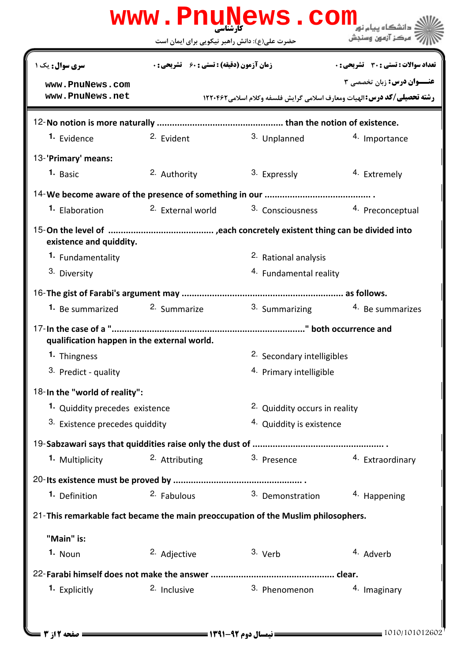|                                                                                   | <b>www . PNUN</b><br>کارشناسی<br>حضرت علی(ع): دانش راهبر نیکویی برای ایمان است | <b>ews.com</b>                           | دانشگاه پیام نو <mark>ر</mark><br>مركز آزمون وسنجش                                                            |  |  |  |
|-----------------------------------------------------------------------------------|--------------------------------------------------------------------------------|------------------------------------------|---------------------------------------------------------------------------------------------------------------|--|--|--|
| <b>سری سوال :</b> یک ۱                                                            | <b>زمان آزمون (دقیقه) : تستی : 60 ٪ تشریحی : 0</b>                             |                                          | تعداد سوالات : تستي : 30 ٪ تشريحي : 0                                                                         |  |  |  |
| www.PnuNews.com<br>www.PnuNews.net                                                |                                                                                |                                          | <b>عنــوان درس:</b> زبان تخصصی ۳<br>رشته تحصیلی/کد درس: الهیات ومعارف اسلامی گرایش فلسفه وکلام اسلامی ۱۲۲۰۴۶۲ |  |  |  |
|                                                                                   |                                                                                |                                          |                                                                                                               |  |  |  |
| <sup>1.</sup> Evidence                                                            | 2. Evident                                                                     | 3. Unplanned                             | 4. Importance                                                                                                 |  |  |  |
| 13-'Primary' means:                                                               |                                                                                |                                          |                                                                                                               |  |  |  |
| 1. Basic                                                                          | 2. Authority                                                                   | 3. Expressly                             | 4. Extremely                                                                                                  |  |  |  |
|                                                                                   |                                                                                |                                          |                                                                                                               |  |  |  |
| <sup>1</sup> Elaboration                                                          | <sup>2.</sup> External world                                                   | <sup>3.</sup> Consciousness              | 4. Preconceptual                                                                                              |  |  |  |
| existence and quiddity.                                                           |                                                                                |                                          |                                                                                                               |  |  |  |
| 1. Fundamentality                                                                 |                                                                                | <sup>2.</sup> Rational analysis          |                                                                                                               |  |  |  |
| 3. Diversity                                                                      |                                                                                | 4. Fundamental reality                   |                                                                                                               |  |  |  |
|                                                                                   |                                                                                |                                          |                                                                                                               |  |  |  |
| <b>1.</b> Be summarized <sup>2.</sup> Summarize                                   |                                                                                |                                          | 3. Summarizing 4. Be summarizes                                                                               |  |  |  |
| qualification happen in the external world.                                       |                                                                                |                                          |                                                                                                               |  |  |  |
| 1. Thingness                                                                      |                                                                                | 2. Secondary intelligibles               |                                                                                                               |  |  |  |
| 3. Predict - quality                                                              |                                                                                | 4. Primary intelligible                  |                                                                                                               |  |  |  |
| 18-In the "world of reality":                                                     |                                                                                |                                          |                                                                                                               |  |  |  |
| 1. Quiddity precedes existence                                                    |                                                                                | <sup>2.</sup> Quiddity occurs in reality |                                                                                                               |  |  |  |
| 3. Existence precedes quiddity                                                    |                                                                                | 4. Quiddity is existence                 |                                                                                                               |  |  |  |
|                                                                                   |                                                                                |                                          |                                                                                                               |  |  |  |
| <sup>1.</sup> Multiplicity                                                        | 2. Attributing                                                                 | 3. Presence                              | 4. Extraordinary                                                                                              |  |  |  |
|                                                                                   |                                                                                |                                          |                                                                                                               |  |  |  |
| 1. Definition                                                                     | 2. Fabulous                                                                    | 3. Demonstration                         | 4. Happening                                                                                                  |  |  |  |
| 21-This remarkable fact became the main preoccupation of the Muslim philosophers. |                                                                                |                                          |                                                                                                               |  |  |  |
| "Main" is:                                                                        |                                                                                |                                          |                                                                                                               |  |  |  |
| <sup>1.</sup> Noun                                                                | 2. Adjective                                                                   | 3. Verb                                  | 4. Adverb                                                                                                     |  |  |  |
|                                                                                   |                                                                                |                                          |                                                                                                               |  |  |  |
| 1. Explicitly                                                                     | 2. Inclusive                                                                   | 3. Phenomenon                            | 4. Imaginary                                                                                                  |  |  |  |